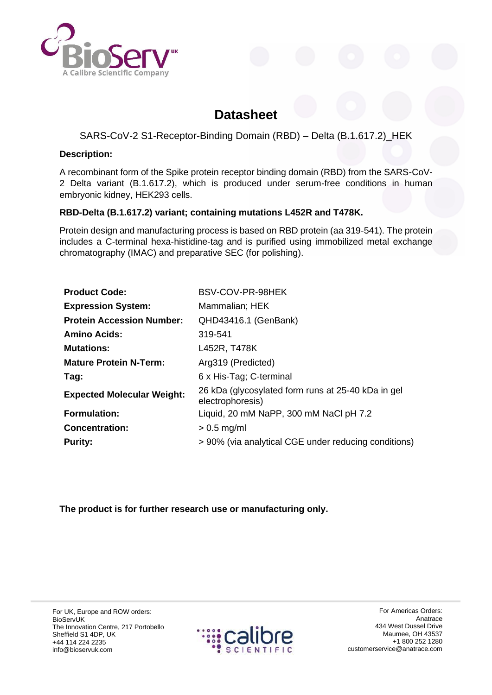

# **Datasheet**

## SARS-CoV-2 S1-Receptor-Binding Domain (RBD) – Delta (B.1.617.2)\_HEK

#### **Description:**

A recombinant form of the Spike protein receptor binding domain (RBD) from the SARS-CoV-2 Delta variant (B.1.617.2), which is produced under serum-free conditions in human embryonic kidney, HEK293 cells.

### **RBD-Delta (B.1.617.2) variant; containing mutations L452R and T478K.**

Protein design and manufacturing process is based on RBD protein (aa 319-541). The protein includes a C-terminal hexa-histidine-tag and is purified using immobilized metal exchange chromatography (IMAC) and preparative SEC (for polishing).

| <b>Product Code:</b>              | BSV-COV-PR-98HEK                                                       |
|-----------------------------------|------------------------------------------------------------------------|
| <b>Expression System:</b>         | Mammalian; HEK                                                         |
| <b>Protein Accession Number:</b>  | QHD43416.1 (GenBank)                                                   |
| <b>Amino Acids:</b>               | 319-541                                                                |
| <b>Mutations:</b>                 | L452R, T478K                                                           |
| <b>Mature Protein N-Term:</b>     | Arg319 (Predicted)                                                     |
| Tag:                              | 6 x His-Tag; C-terminal                                                |
| <b>Expected Molecular Weight:</b> | 26 kDa (glycosylated form runs at 25-40 kDa in gel<br>electrophoresis) |
| <b>Formulation:</b>               | Liquid, 20 mM NaPP, 300 mM NaCl pH 7.2                                 |
| <b>Concentration:</b>             | $> 0.5$ mg/ml                                                          |
| <b>Purity:</b>                    | > 90% (via analytical CGE under reducing conditions)                   |

**The product is for further research use or manufacturing only.**

For UK, Europe and ROW orders: BioServUK The Innovation Centre, 217 Portobello Sheffield S1 4DP, UK +44 114 224 2235 info@bioservuk.com



For Americas Orders: Anatrace 434 West Dussel Drive Maumee, OH 43537 +1 800 252 1280 customerservice@anatrace.com